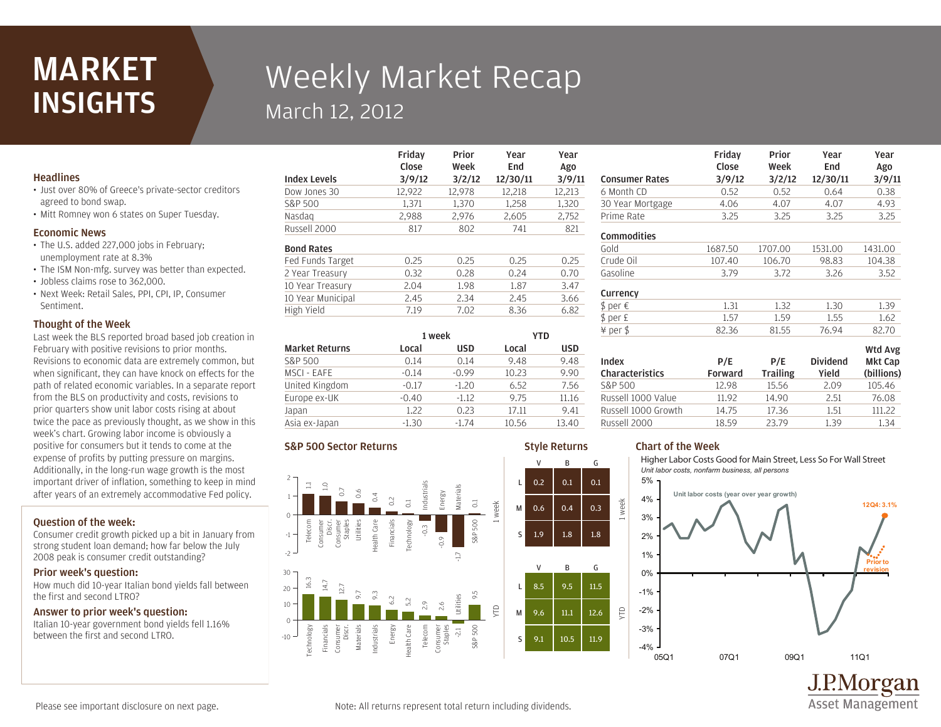## **MARKET INSIGHTS**

# Weekly Market Recap March 12, 2012

Friday

## Headlines

- Just over 80% of Greece's private-sector creditors agreed to bond swap.
- Mitt Romney won 6 states on Super Tuesday.

## Economic News

- The U.S. added 227,000 jobs in February; unemployment rate at 8.3%
- The ISM Non-mfg. survey was better than expected.
- Jobless claims rose to 362,000.
- Next Week: Retail Sales, PPI, CPI, IP, Consumer Sentiment.

## Thought of the Week

Last week the BLS reported broad based job creation in February with positive revisions to prior months. Revisions to economic data are extremely common, but when significant, they can have knock on effects for the path of related economic variables. In a separate report from the BLS on productivity and costs, revisions to prior quarters show unit labor costs rising at about twice the pace as previously thought, as we show in this week's chart. Growing labor income is obviously a positive for consumers but it tends to come at the expense of profits by putting pressure on margins. Additionally, in the long-run wage growth is the most important driver of inflation, something to keep in mind after years of an extremely accommodative Fed policy.

## Question of the week:

Consumer credit growth picked up a bit in January from strong student loan demand; how far below the July 2008 peak is consumer credit outstanding?

#### Prior week's question:

How much did 10-year Italian bond yields fall between the first and second LTRO?

## Answer to prior week's question:

Italian 10-year government bond yields fell 1.16% between the first and second LTRO.

|                     | Close  | Week   | End      | Ago    |
|---------------------|--------|--------|----------|--------|
| <b>Index Levels</b> | 3/9/12 | 3/2/12 | 12/30/11 | 3/9/11 |
| Dow Jones 30        | 12,922 | 12,978 | 12,218   | 12,213 |
| S&P 500             | 1,371  | 1.370  | 1.258    | 1,320  |
| Nasdag              | 2,988  | 2,976  | 2,605    | 2,752  |
| Russell 2000        | 817    | 802    | 741      | 821    |
| <b>Bond Rates</b>   |        |        |          |        |
| Fed Funds Target    | 0.25   | 0.25   | 0.25     | 0.25   |
| 2 Year Treasury     | 0.32   | 0.28   | 0.24     | 0.70   |
| 10 Year Treasury    | 2.04   | 1.98   | 1.87     | 3.47   |
| 10 Year Municipal   | 2.45   | 2.34   | 2.45     | 3.66   |
| High Yield          | 7.19   | 7.02   | 8.36     | 6.82   |
|                     |        |        |          |        |

Prior

Year

Year

Style Returns

| <b>Market Returns</b> | 1 week  |            | YTD   |            |
|-----------------------|---------|------------|-------|------------|
|                       | Local   | <b>USD</b> | Local | <b>USD</b> |
| S&P 500               | 0.14    | 0.14       | 9.48  | 9.48       |
| MSCI - EAFE           | $-0.14$ | $-0.99$    | 10.23 | 9.90       |
| United Kingdom        | $-0.17$ | $-1.20$    | 6.52  | 7.56       |
| Europe ex-UK          | $-0.40$ | $-1.12$    | 9.75  | 11.16      |
| Japan                 | 1.22    | 0.23       | 17.11 | 9.41       |
| Asia ex-Japan         | $-1.30$ | $-1.74$    | 10.56 | 13.40      |

## S&P 500 Sector Returns



|                          | Close                 | Week                   | End                      | Ago                   |
|--------------------------|-----------------------|------------------------|--------------------------|-----------------------|
| <b>Consumer Rates</b>    | 3/9/12                | 3/2/12                 | 12/30/11                 | 3/9/11                |
| 6 Month CD               | 0.52                  | 0.52                   | 0.64                     | 0.38                  |
| 30 Year Mortgage         | 4.06                  | 4.07                   | 4.07                     | 4.93                  |
| Prime Rate               | 3.25                  | 3.25                   | 3.25                     | 3.25                  |
| <b>Commodities</b>       |                       |                        |                          |                       |
| Gold                     | 1687.50               | 1707.00                | 1531.00                  | 1431.00               |
| Crude Oil                | 107.40                | 106.70                 | 98.83                    | 104.38                |
| Gasoline                 | 3.79                  | 3.72                   | 3.26                     | 3.52                  |
| Currency                 |                       |                        |                          |                       |
| \$ per €                 | 1.31                  | 1.32                   | 1.30                     | 1.39                  |
| \$ per £                 | 1.57                  | 1.59                   | 1.55                     | 1.62                  |
| ¥ per \$                 | 82.36                 | 81.55                  | 76.94                    | 82.70                 |
|                          |                       |                        |                          | Wtd Avg               |
| Index<br>Characteristics | P/E<br><b>Forward</b> | P/E<br><b>Trailing</b> | <b>Dividend</b><br>Yield | Mkt Cap<br>(billions) |
| S&P 500                  | 12.98                 | 15.56                  | 2.09                     | 105.46                |
| Russell 1000 Value       | 11.92                 | 14.90                  | 2.51                     | 76.08                 |

Prior

Year

Year

Friday

## Chart of the Week

week

YTD

Higher Labor Costs Good for Main Street, Less So For Wall Street *Unit labor costs, nonfarm business, all persons*

Russell 2000 18.59 23.79 1.39 1.34 Russell 1000 Growth 14.75 17.36 1.51 111.22



**Asset Management** 

Please see important disclosure on next page.